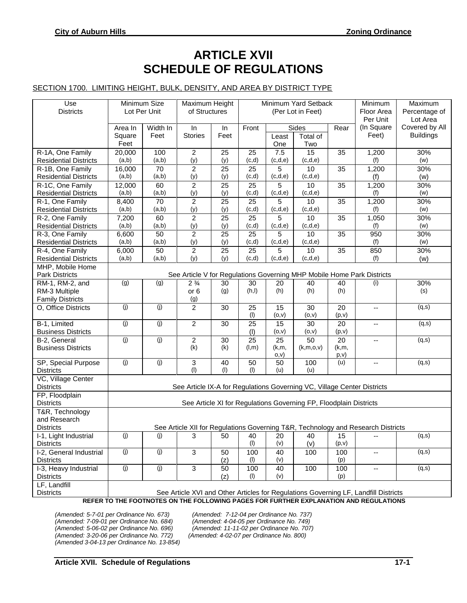# **ARTICLE XVII SCHEDULE OF REGULATIONS**

## SECTION 1700. LIMITING HEIGHT, BULK, DENSITY, AND AREA BY DISTRICT TYPE

| Use<br><b>Districts</b>                                                                                                                                                      | Minimum Size<br>Maximum Height<br>Lot Per Unit<br>of Structures         |             |                       | Minimum Yard Setback<br>(Per Lot in Feet) |                          |                |                        | Minimum<br>Floor Area      | Maximum<br>Percentage of                                                         |                  |
|------------------------------------------------------------------------------------------------------------------------------------------------------------------------------|-------------------------------------------------------------------------|-------------|-----------------------|-------------------------------------------|--------------------------|----------------|------------------------|----------------------------|----------------------------------------------------------------------------------|------------------|
|                                                                                                                                                                              |                                                                         | Width In    | In                    | In                                        | Front<br>Sides           |                | Per Unit<br>(In Square | Lot Area<br>Covered by All |                                                                                  |                  |
|                                                                                                                                                                              | Area In<br>Square                                                       | Feet        | <b>Stories</b>        | Feet                                      |                          | Least          | Total of               | Rear                       | Feet)                                                                            | <b>Buildings</b> |
|                                                                                                                                                                              | Feet                                                                    |             |                       |                                           |                          | One            | Two                    |                            |                                                                                  |                  |
| R-1A, One Family                                                                                                                                                             | 20,000                                                                  | 100         | $\overline{2}$        | 25                                        | 25                       | 7.5            | 15                     | 35                         | 1,200                                                                            | 30%              |
| <b>Residential Districts</b>                                                                                                                                                 | (a,b)                                                                   | (a,b)       | (y)                   | (y)                                       | (c,d)                    | (c,d,e)        | (c,d,e)                |                            | (f)                                                                              | (w)              |
| R-1B, One Family                                                                                                                                                             | 16,000                                                                  | 70          | $\overline{2}$        | 25                                        | 25                       | 5              | 10                     | 35                         | 1,200                                                                            | 30%              |
| <b>Residential Districts</b>                                                                                                                                                 | (a,b)                                                                   | (a,b)       | (y)                   | (y)                                       | (c,d)                    | (c,d,e)        | (c,d,e)                |                            | (f)                                                                              | (w)              |
| R-1C, One Family                                                                                                                                                             | 12,000                                                                  | 60          | $\overline{c}$        | 25                                        | 25                       | 5              | 10                     | 35                         | 1,200                                                                            | 30%              |
| <b>Residential Districts</b>                                                                                                                                                 | (a,b)                                                                   | (a,b)       | (y)                   | (y)                                       | (c,d)                    | (c,d,e)        | (c,d,e)                |                            | (f)                                                                              | (w)              |
| R-1, One Family                                                                                                                                                              | 8,400                                                                   | 70          | $\overline{c}$        | 25                                        | 25                       | 5              | 10                     | 35                         | 1,200                                                                            | 30%              |
| <b>Residential Districts</b>                                                                                                                                                 | (a,b)                                                                   | (a,b)       | (y)                   | (y)                                       | (c,d)                    | (c,d,e)        | (c,d,e)                |                            | (f)                                                                              | (w)              |
| R-2, One Family                                                                                                                                                              | 7,200                                                                   | 60          | $\overline{c}$        | 25                                        | $\overline{25}$<br>(c,d) | 5<br>(c,d,e)   | 10                     | $\overline{35}$            | 1,050                                                                            | 30%              |
| <b>Residential Districts</b><br>R-3, One Family                                                                                                                              | (a,b)<br>6,600                                                          | (a,b)<br>50 | (y)<br>$\overline{c}$ | (y)<br>25                                 | 25                       | 5              | (c,d,e)<br>10          | 35                         | (f)<br>950                                                                       | (w)<br>30%       |
| <b>Residential Districts</b>                                                                                                                                                 | (a,b)                                                                   | (a,b)       | (y)                   | (y)                                       | (c,d)                    | (c,d,e)        | (c,d,e)                |                            | (f)                                                                              | (w)              |
| R-4, One Family                                                                                                                                                              | 6,000                                                                   | 50          | $\overline{2}$        | 25                                        | 25                       | 5              | 10                     | 35                         | 850                                                                              | 30%              |
| <b>Residential Districts</b>                                                                                                                                                 | (a,b)                                                                   | (a,b)       | (y)                   | (y)                                       | (c,d)                    | (c,d,e)        | (c,d,e)                |                            | (f)                                                                              | (w)              |
| MHP, Mobile Home                                                                                                                                                             |                                                                         |             |                       |                                           |                          |                |                        |                            |                                                                                  |                  |
| <b>Park Districts</b>                                                                                                                                                        | See Article V for Regulations Governing MHP Mobile Home Park Districts  |             |                       |                                           |                          |                |                        |                            |                                                                                  |                  |
| RM-1, RM-2, and                                                                                                                                                              | (g)                                                                     | (g)         | $2\frac{3}{4}$        | 30                                        | 30                       | 20             | 40                     | 40                         | (i)                                                                              | 30%              |
| RM-3 Multiple                                                                                                                                                                |                                                                         |             | or <sub>6</sub>       | (g)                                       | (h, I)                   | (h)            | (h)                    | (h)                        |                                                                                  | (s)              |
| <b>Family Districts</b>                                                                                                                                                      |                                                                         |             | (g)                   |                                           |                          |                |                        |                            |                                                                                  |                  |
| O, Office Districts                                                                                                                                                          | (j)                                                                     | (j)         | 2                     | 30                                        | 25<br>(1)                | 15<br>(0, V)   | 30<br>(0, V)           | 20<br>(p,v)                | --                                                                               | (q,s)            |
| B-1, Limited                                                                                                                                                                 | (j)                                                                     | (j)         | $\overline{2}$        | 30                                        | 25                       | 15             | 30                     | 20                         | $\frac{1}{2}$                                                                    | (q,s)            |
| <b>Business Districts</b>                                                                                                                                                    |                                                                         |             |                       |                                           | (1)                      | (0, V)         | (0, V)                 | (p,v)                      |                                                                                  |                  |
| B-2, General                                                                                                                                                                 | (j)                                                                     | (j)         | $\overline{c}$        | 30                                        | $\overline{25}$          | 25             | $\overline{50}$        | 20                         | Ξ.                                                                               | (q,s)            |
| <b>Business Districts</b>                                                                                                                                                    |                                                                         |             | (k)                   | (k)                                       | (l,m)                    | (k,m,<br>O, V) | (k,m,0,v)              | (k,m,<br>p, v)             |                                                                                  |                  |
| SP, Special Purpose                                                                                                                                                          | (j)                                                                     | (j)         | $\sqrt{3}$            | 40                                        | 50                       | 50             | 100                    | (u)                        | --                                                                               | (q,s)            |
| <b>Districts</b>                                                                                                                                                             |                                                                         |             | (1)                   | (1)                                       | (1)                      | (u)            | (u)                    |                            |                                                                                  |                  |
| VC, Village Center                                                                                                                                                           |                                                                         |             |                       |                                           |                          |                |                        |                            |                                                                                  |                  |
| <b>Districts</b>                                                                                                                                                             | See Article IX-A for Regulations Governing VC, Village Center Districts |             |                       |                                           |                          |                |                        |                            |                                                                                  |                  |
| FP, Floodplain                                                                                                                                                               |                                                                         |             |                       |                                           |                          |                |                        |                            |                                                                                  |                  |
| <b>Districts</b>                                                                                                                                                             | See Article XI for Regulations Governing FP, Floodplain Districts       |             |                       |                                           |                          |                |                        |                            |                                                                                  |                  |
| T&R, Technology                                                                                                                                                              |                                                                         |             |                       |                                           |                          |                |                        |                            |                                                                                  |                  |
| and Research                                                                                                                                                                 |                                                                         |             |                       |                                           |                          |                |                        |                            |                                                                                  |                  |
| <b>Districts</b>                                                                                                                                                             |                                                                         |             |                       |                                           |                          |                |                        |                            | See Article XII for Regulations Governing T&R, Technology and Research Districts |                  |
| I-1, Light Industrial                                                                                                                                                        | (i)                                                                     | (j)         | 3                     | 50                                        | 40                       | 20             | 40                     | 15                         |                                                                                  | (q,s)            |
| <b>Districts</b>                                                                                                                                                             | (j)                                                                     | (i)         | $\overline{3}$        |                                           | (1)                      | (v)            | (v)                    | (p,v)                      |                                                                                  |                  |
| I-2, General Industrial<br><b>Districts</b>                                                                                                                                  |                                                                         |             |                       | 50<br>(z)                                 | 100<br>(1)               | 40<br>(v)      | 100                    | 100<br>(p)                 |                                                                                  | (q,s)            |
| I-3, Heavy Industrial                                                                                                                                                        | (j)                                                                     | (j)         | $\mathfrak{S}$        | 50                                        | 100                      | 40             | 100                    | 100                        |                                                                                  | (q,s)            |
| <b>Districts</b>                                                                                                                                                             |                                                                         |             |                       | (z)                                       | (1)                      | (v)            |                        | (p)                        | $\overline{\phantom{a}}$                                                         |                  |
| LF, Landfill                                                                                                                                                                 |                                                                         |             |                       |                                           |                          |                |                        |                            |                                                                                  |                  |
| <b>Districts</b>                                                                                                                                                             |                                                                         |             |                       |                                           |                          |                |                        |                            |                                                                                  |                  |
| See Article XVI and Other Articles for Regulations Governing LF, Landfill Districts<br>REFER TO THE FOOTNOTES ON THE FOLLOWING PAGES FOR FURTHER EXPLANATION AND REGULATIONS |                                                                         |             |                       |                                           |                          |                |                        |                            |                                                                                  |                  |

*(Amended: 7-09-01 per Ordinance No. 684) (Amended: 4-04-05 per Ordinance No. 749) (Amended: 3-20-06 per Ordinance No. 772) (Amended: 4-02-07 per Ordinance No. 800) (Amended 3-04-13 per Ordinance No. 13-854)*

*(Amended: 5-7-01 per Ordinance No. 673) (Amended: 7-12-04 per Ordinance No. 737) (Amended: 5-06-02 per Ordinance No. 696) (Amended: 11-11-02 per Ordinance No. 707)*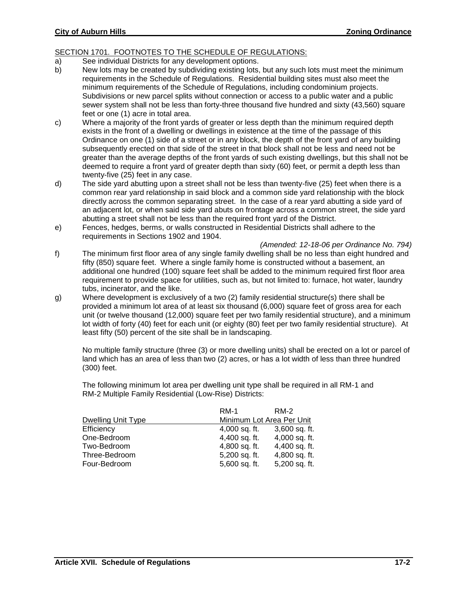## SECTION 1701. FOOTNOTES TO THE SCHEDULE OF REGULATIONS:

- a) See individual Districts for any development options.
- b) New lots may be created by subdividing existing lots, but any such lots must meet the minimum requirements in the Schedule of Regulations. Residential building sites must also meet the minimum requirements of the Schedule of Regulations, including condominium projects. Subdivisions or new parcel splits without connection or access to a public water and a public sewer system shall not be less than forty-three thousand five hundred and sixty (43,560) square feet or one (1) acre in total area.
- c) Where a majority of the front yards of greater or less depth than the minimum required depth exists in the front of a dwelling or dwellings in existence at the time of the passage of this Ordinance on one (1) side of a street or in any block, the depth of the front yard of any building subsequently erected on that side of the street in that block shall not be less and need not be greater than the average depths of the front yards of such existing dwellings, but this shall not be deemed to require a front yard of greater depth than sixty (60) feet, or permit a depth less than twenty-five (25) feet in any case.
- d) The side yard abutting upon a street shall not be less than twenty-five (25) feet when there is a common rear yard relationship in said block and a common side yard relationship with the block directly across the common separating street. In the case of a rear yard abutting a side yard of an adjacent lot, or when said side yard abuts on frontage across a common street, the side yard abutting a street shall not be less than the required front yard of the District.
- e) Fences, hedges, berms, or walls constructed in Residential Districts shall adhere to the requirements in Sections 1902 and 1904.

*(Amended: 12-18-06 per Ordinance No. 794)*

- f) The minimum first floor area of any single family dwelling shall be no less than eight hundred and fifty (850) square feet. Where a single family home is constructed without a basement, an additional one hundred (100) square feet shall be added to the minimum required first floor area requirement to provide space for utilities, such as, but not limited to: furnace, hot water, laundry tubs, incinerator, and the like.
- g) Where development is exclusively of a two (2) family residential structure(s) there shall be provided a minimum lot area of at least six thousand (6,000) square feet of gross area for each unit (or twelve thousand (12,000) square feet per two family residential structure), and a minimum lot width of forty (40) feet for each unit (or eighty (80) feet per two family residential structure). At least fifty (50) percent of the site shall be in landscaping.

No multiple family structure (three (3) or more dwelling units) shall be erected on a lot or parcel of land which has an area of less than two (2) acres, or has a lot width of less than three hundred (300) feet.

The following minimum lot area per dwelling unit type shall be required in all RM-1 and RM-2 Multiple Family Residential (Low-Rise) Districts:

|                           | <b>RM-1</b>               | RM-2            |
|---------------------------|---------------------------|-----------------|
| <b>Dwelling Unit Type</b> | Minimum Lot Area Per Unit |                 |
| Efficiency                | 4,000 sq. ft.             | $3,600$ sq. ft. |
| One-Bedroom               | 4,400 sq. ft.             | 4,000 sq. ft.   |
| Two-Bedroom               | 4,800 sq. ft.             | 4,400 sq. ft.   |
| Three-Bedroom             | 5,200 sq. ft.             | 4,800 sq. ft.   |
| Four-Bedroom              | 5,600 sq. ft.             | 5,200 sq. ft.   |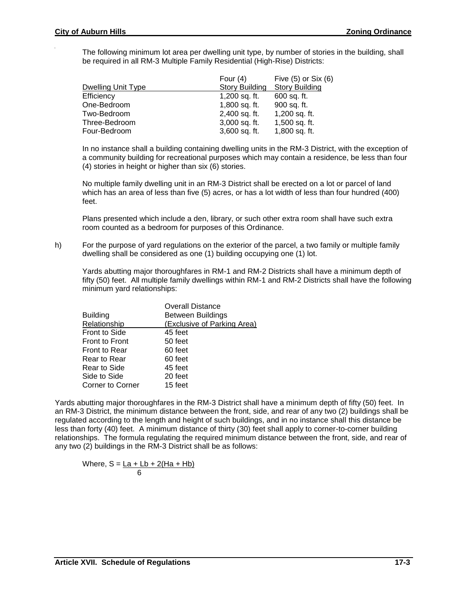The following minimum lot area per dwelling unit type, by number of stories in the building, shall be required in all RM-3 Multiple Family Residential (High-Rise) Districts:

|                    | Four $(4)$            | Five $(5)$ or Six $(6)$ |
|--------------------|-----------------------|-------------------------|
| Dwelling Unit Type | <b>Story Building</b> | <b>Story Building</b>   |
| Efficiency         | 1,200 sq. ft.         | 600 sq. ft.             |
| One-Bedroom        | 1,800 sq. ft.         | 900 sq. ft.             |
| Two-Bedroom        | 2,400 sq. ft.         | 1,200 sq. ft.           |
| Three-Bedroom      | $3,000$ sq. ft.       | 1,500 sq. ft.           |
| Four-Bedroom       | 3,600 sq. ft.         | 1,800 sq. ft.           |

In no instance shall a building containing dwelling units in the RM-3 District, with the exception of a community building for recreational purposes which may contain a residence, be less than four (4) stories in height or higher than six (6) stories.

No multiple family dwelling unit in an RM-3 District shall be erected on a lot or parcel of land which has an area of less than five (5) acres, or has a lot width of less than four hundred (400) feet.

Plans presented which include a den, library, or such other extra room shall have such extra room counted as a bedroom for purposes of this Ordinance.

h) For the purpose of yard regulations on the exterior of the parcel, a two family or multiple family dwelling shall be considered as one (1) building occupying one (1) lot.

Yards abutting major thoroughfares in RM-1 and RM-2 Districts shall have a minimum depth of fifty (50) feet. All multiple family dwellings within RM-1 and RM-2 Districts shall have the following minimum yard relationships:

|                         | <b>Overall Distance</b>     |
|-------------------------|-----------------------------|
| <b>Building</b>         | <b>Between Buildings</b>    |
| Relationship            | (Exclusive of Parking Area) |
| <b>Front to Side</b>    | 45 feet                     |
| <b>Front to Front</b>   | 50 feet                     |
| <b>Front to Rear</b>    | 60 feet                     |
| Rear to Rear            | 60 feet                     |
| Rear to Side            | 45 feet                     |
| Side to Side            | 20 feet                     |
| <b>Corner to Corner</b> | 15 feet                     |

Yards abutting major thoroughfares in the RM-3 District shall have a minimum depth of fifty (50) feet. In an RM-3 District, the minimum distance between the front, side, and rear of any two (2) buildings shall be regulated according to the length and height of such buildings, and in no instance shall this distance be less than forty (40) feet. A minimum distance of thirty (30) feet shall apply to corner-to-corner building relationships. The formula regulating the required minimum distance between the front, side, and rear of any two (2) buildings in the RM-3 District shall be as follows:

Where, S = <u>La + Lb + 2(Ha + Hb)</u> 6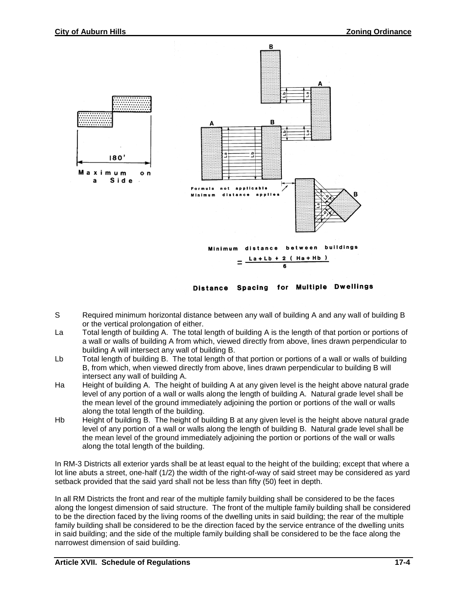

Distance Spacing for Multiple Dwellings

- S Required minimum horizontal distance between any wall of building A and any wall of building B or the vertical prolongation of either.
- La Total length of building A. The total length of building A is the length of that portion or portions of a wall or walls of building A from which, viewed directly from above, lines drawn perpendicular to building A will intersect any wall of building B.
- Lb Total length of building B. The total length of that portion or portions of a wall or walls of building B, from which, when viewed directly from above, lines drawn perpendicular to building B will intersect any wall of building A.
- Ha Height of building A. The height of building A at any given level is the height above natural grade level of any portion of a wall or walls along the length of building A. Natural grade level shall be the mean level of the ground immediately adjoining the portion or portions of the wall or walls along the total length of the building.
- Hb Height of building B. The height of building B at any given level is the height above natural grade level of any portion of a wall or walls along the length of building B. Natural grade level shall be the mean level of the ground immediately adjoining the portion or portions of the wall or walls along the total length of the building.

In RM-3 Districts all exterior yards shall be at least equal to the height of the building; except that where a lot line abuts a street, one-half (1/2) the width of the right-of-way of said street may be considered as yard setback provided that the said yard shall not be less than fifty (50) feet in depth.

In all RM Districts the front and rear of the multiple family building shall be considered to be the faces along the longest dimension of said structure. The front of the multiple family building shall be considered to be the direction faced by the living rooms of the dwelling units in said building; the rear of the multiple family building shall be considered to be the direction faced by the service entrance of the dwelling units in said building; and the side of the multiple family building shall be considered to be the face along the narrowest dimension of said building.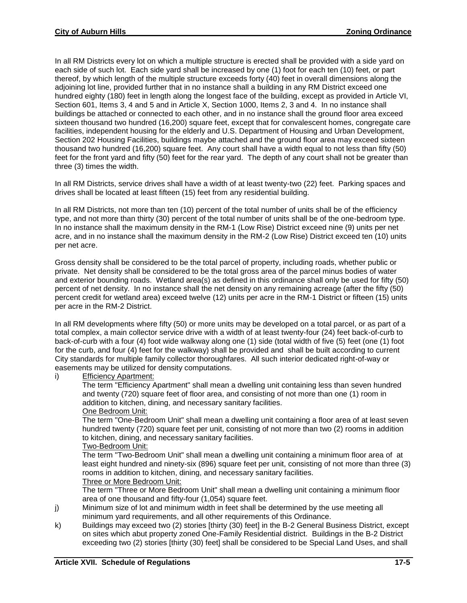In all RM Districts every lot on which a multiple structure is erected shall be provided with a side yard on each side of such lot. Each side yard shall be increased by one (1) foot for each ten (10) feet, or part thereof, by which length of the multiple structure exceeds forty (40) feet in overall dimensions along the adjoining lot line, provided further that in no instance shall a building in any RM District exceed one hundred eighty (180) feet in length along the longest face of the building, except as provided in Article VI, Section 601, Items 3, 4 and 5 and in Article X, Section 1000, Items 2, 3 and 4. In no instance shall buildings be attached or connected to each other, and in no instance shall the ground floor area exceed sixteen thousand two hundred (16,200) square feet, except that for convalescent homes, congregate care facilities, independent housing for the elderly and U.S. Department of Housing and Urban Development, Section 202 Housing Facilities, buildings maybe attached and the ground floor area may exceed sixteen thousand two hundred (16,200) square feet. Any court shall have a width equal to not less than fifty (50) feet for the front yard and fifty (50) feet for the rear yard. The depth of any court shall not be greater than three (3) times the width.

In all RM Districts, service drives shall have a width of at least twenty-two (22) feet. Parking spaces and drives shall be located at least fifteen (15) feet from any residential building.

In all RM Districts, not more than ten (10) percent of the total number of units shall be of the efficiency type, and not more than thirty (30) percent of the total number of units shall be of the one-bedroom type. In no instance shall the maximum density in the RM-1 (Low Rise) District exceed nine (9) units per net acre, and in no instance shall the maximum density in the RM-2 (Low Rise) District exceed ten (10) units per net acre.

Gross density shall be considered to be the total parcel of property, including roads, whether public or private. Net density shall be considered to be the total gross area of the parcel minus bodies of water and exterior bounding roads. Wetland area(s) as defined in this ordinance shall only be used for fifty (50) percent of net density. In no instance shall the net density on any remaining acreage (after the fifty (50) percent credit for wetland area) exceed twelve (12) units per acre in the RM-1 District or fifteen (15) units per acre in the RM-2 District.

In all RM developments where fifty (50) or more units may be developed on a total parcel, or as part of a total complex, a main collector service drive with a width of at least twenty-four (24) feet back-of-curb to back-of-curb with a four (4) foot wide walkway along one (1) side (total width of five (5) feet (one (1) foot for the curb, and four (4) feet for the walkway) shall be provided and shall be built according to current City standards for multiple family collector thoroughfares. All such interior dedicated right-of-way or easements may be utilized for density computations.

i) Efficiency Apartment:

The term "Efficiency Apartment" shall mean a dwelling unit containing less than seven hundred and twenty (720) square feet of floor area, and consisting of not more than one (1) room in addition to kitchen, dining, and necessary sanitary facilities. One Bedroom Unit:

The term "One-Bedroom Unit" shall mean a dwelling unit containing a floor area of at least seven hundred twenty (720) square feet per unit, consisting of not more than two (2) rooms in addition to kitchen, dining, and necessary sanitary facilities.

#### Two-Bedroom Unit:

The term "Two-Bedroom Unit" shall mean a dwelling unit containing a minimum floor area of at least eight hundred and ninety-six (896) square feet per unit, consisting of not more than three (3) rooms in addition to kitchen, dining, and necessary sanitary facilities.

#### Three or More Bedroom Unit:

The term "Three or More Bedroom Unit" shall mean a dwelling unit containing a minimum floor area of one thousand and fifty-four (1,054) square feet.

- j) Minimum size of lot and minimum width in feet shall be determined by the use meeting all minimum yard requirements, and all other requirements of this Ordinance.
- k) Buildings may exceed two (2) stories [thirty (30) feet] in the B-2 General Business District, except on sites which abut property zoned One-Family Residential district.Buildings in the B-2 District exceeding two (2) stories [thirty (30) feet] shall be considered to be Special Land Uses, and shall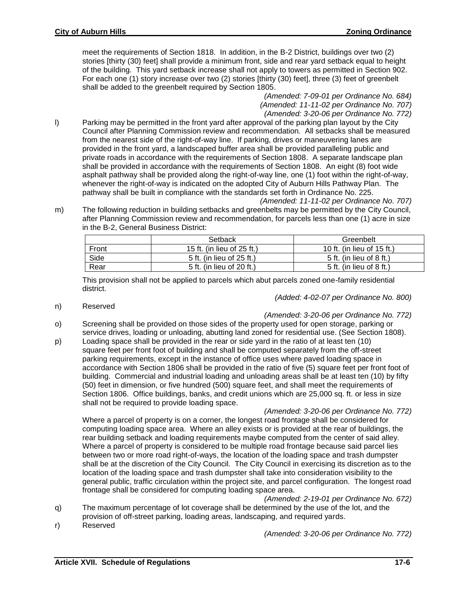meet the requirements of Section 1818. In addition, in the B-2 District, buildings over two (2) stories [thirty (30) feet] shall provide a minimum front, side and rear yard setback equal to height of the building. This yard setback increase shall not apply to towers as permitted in Section 902. For each one (1) story increase over two (2) stories [thirty (30) feet], three (3) feet of greenbelt shall be added to the greenbelt required by Section 1805.

> *(Amended: 7-09-01 per Ordinance No. 684) (Amended: 11-11-02 per Ordinance No. 707) (Amended: 3-20-06 per Ordinance No. 772)*

- l) Parking may be permitted in the front yard after approval of the parking plan layout by the City Council after Planning Commission review and recommendation. All setbacks shall be measured from the nearest side of the right-of-way line. If parking, drives or maneuvering lanes are provided in the front yard, a landscaped buffer area shall be provided paralleling public and private roads in accordance with the requirements of Section 1808. A separate landscape plan shall be provided in accordance with the requirements of Section 1808. An eight (8) foot wide asphalt pathway shall be provided along the right-of-way line, one (1) foot within the right-of-way, whenever the right-of-way is indicated on the adopted City of Auburn Hills Pathway Plan. The pathway shall be built in compliance with the standards set forth in Ordinance No. 225.
	- *(Amended: 11-11-02 per Ordinance No. 707)*
- m) The following reduction in building setbacks and greenbelts may be permitted by the City Council, after Planning Commission review and recommendation, for parcels less than one (1) acre in size in the B-2, General Business District:

|       | Setback                    | Greenbelt                  |
|-------|----------------------------|----------------------------|
| Front | 15 ft. (in lieu of 25 ft.) | 10 ft. (in lieu of 15 ft.) |
| Side  | 5 ft. (in lieu of 25 ft.)  | 5 ft. (in lieu of 8 ft.)   |
| Rear  | 5 ft. (in lieu of 20 ft.)  | 5 ft. (in lieu of 8 ft.)   |

This provision shall not be applied to parcels which abut parcels zoned one-family residential district.

*(Added: 4-02-07 per Ordinance No. 800)*

n) Reserved

*(Amended: 3-20-06 per Ordinance No. 772)*

- o) Screening shall be provided on those sides of the property used for open storage, parking or service drives, loading or unloading, abutting land zoned for residential use. (See Section 1808).
- p) Loading space shall be provided in the rear or side yard in the ratio of at least ten (10) square feet per front foot of building and shall be computed separately from the off-street parking requirements, except in the instance of office uses where paved loading space in accordance with Section 1806 shall be provided in the ratio of five (5) square feet per front foot of building. Commercial and industrial loading and unloading areas shall be at least ten (10) by fifty (50) feet in dimension, or five hundred (500) square feet, and shall meet the requirements of Section 1806. Office buildings, banks, and credit unions which are 25,000 sq. ft. or less in size shall not be required to provide loading space.

*(Amended: 3-20-06 per Ordinance No. 772)*

Where a parcel of property is on a corner, the longest road frontage shall be considered for computing loading space area. Where an alley exists or is provided at the rear of buildings, the rear building setback and loading requirements maybe computed from the center of said alley. Where a parcel of property is considered to be multiple road frontage because said parcel lies between two or more road right-of-ways, the location of the loading space and trash dumpster shall be at the discretion of the City Council. The City Council in exercising its discretion as to the location of the loading space and trash dumpster shall take into consideration visibility to the general public, traffic circulation within the project site, and parcel configuration. The longest road frontage shall be considered for computing loading space area.

#### *(Amended: 2-19-01 per Ordinance No. 672)*

- q) The maximum percentage of lot coverage shall be determined by the use of the lot, and the provision of off-street parking, loading areas, landscaping, and required yards.
- r) Reserved

*(Amended: 3-20-06 per Ordinance No. 772)*